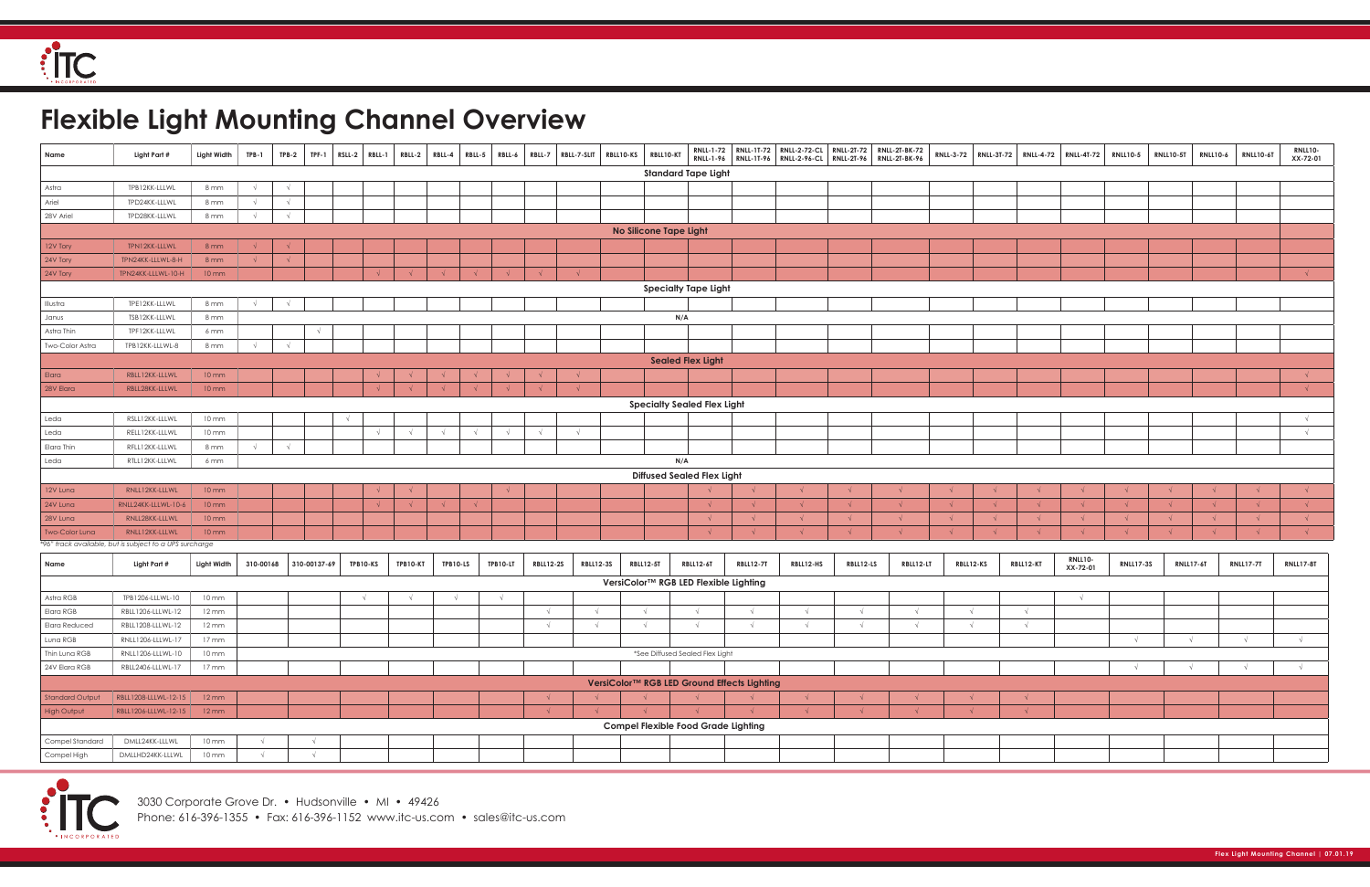Phone: 616-396-1355 • Fax: 616-396-1152 www.itc-us.com • sales@itc-us.com

## **Flexible Light Mounting Channel Overview**

| Name                  | Light Part #                                            | Light Width       | TPB-1      | $TPB-2$    | <b>TPF-1</b> | $RSLL-2$   | RBLL-1     | <b>RBLL-2</b> | RBLL-4     | RBLL-5     | RBLL-6     | RBLL-7           | RBLL-7-SLIT | RBLL10-KS        | RBLL10-KT              |                                            |                                             |            |            | RNLL-1-72 RNLL-1T-72 RNLL-2-72-CL RNLL-2T-72 RNLL-2T-BK-72<br>RNLL-1-96 RNLL-1T-96 RNLL-2-96-CL RNLL-2T-96 RNLL-2T-BK-96 |            |            |            | RNLL-3-72   RNLL-3T-72   RNLL-4-72   RNLL-4T-72 | <b>RNLL10-5</b>  | <b>RNLL10-5T</b> | <b>RNLL10-6</b>  | <b>RNLL10-6T</b> | RNLL10-          |
|-----------------------|---------------------------------------------------------|-------------------|------------|------------|--------------|------------|------------|---------------|------------|------------|------------|------------------|-------------|------------------|------------------------|--------------------------------------------|---------------------------------------------|------------|------------|--------------------------------------------------------------------------------------------------------------------------|------------|------------|------------|-------------------------------------------------|------------------|------------------|------------------|------------------|------------------|
|                       |                                                         |                   |            |            |              |            |            |               |            |            |            |                  |             |                  |                        | <b>Standard Tape Light</b>                 |                                             |            |            |                                                                                                                          |            |            |            |                                                 |                  |                  |                  |                  | XX-72-01         |
| Astra                 | TPB12KK-LLLWL                                           | 8 mm              | $\sqrt{ }$ |            |              |            |            |               |            |            |            |                  |             |                  |                        |                                            |                                             |            |            |                                                                                                                          |            |            |            |                                                 |                  |                  |                  |                  |                  |
| Ariel                 | TPD24KK-LLLWL                                           | 8 mm              | $\sqrt{ }$ | $\sqrt{ }$ |              |            |            |               |            |            |            |                  |             |                  |                        |                                            |                                             |            |            |                                                                                                                          |            |            |            |                                                 |                  |                  |                  |                  |                  |
| 28V Ariel             | TPD28KK-LLLWL                                           | 8 mm              | $\sqrt{ }$ | $\sqrt{ }$ |              |            |            |               |            |            |            |                  |             |                  |                        |                                            |                                             |            |            |                                                                                                                          |            |            |            |                                                 |                  |                  |                  |                  |                  |
|                       |                                                         |                   |            |            |              |            |            |               |            |            |            |                  |             |                  | No Silicone Tape Light |                                            |                                             |            |            |                                                                                                                          |            |            |            |                                                 |                  |                  |                  |                  |                  |
| 12V Tory              | TPN12KK-LLLWL                                           | 8mm               |            |            |              |            |            |               |            |            |            |                  |             |                  |                        |                                            |                                             |            |            |                                                                                                                          |            |            |            |                                                 |                  |                  |                  |                  |                  |
| 24V Tory              | TPN24KK-LLLWL-8-H                                       | 8mm               |            |            |              |            |            |               |            |            |            |                  |             |                  |                        |                                            |                                             |            |            |                                                                                                                          |            |            |            |                                                 |                  |                  |                  |                  |                  |
| 24V Tory              | TPN24KK-LLLWL-10-H                                      | $10 \, \text{mm}$ |            |            |              |            |            |               |            |            |            |                  | $\sqrt{ }$  |                  |                        |                                            |                                             |            |            |                                                                                                                          |            |            |            |                                                 |                  |                  |                  |                  | $\sqrt{ }$       |
|                       |                                                         |                   |            |            |              |            |            |               |            |            |            |                  |             |                  |                        | <b>Specialty Tape Light</b>                |                                             |            |            |                                                                                                                          |            |            |            |                                                 |                  |                  |                  |                  |                  |
| Illustra              | TPE12KK-LLLWL                                           | 8 mm              |            |            |              |            |            |               |            |            |            |                  |             |                  |                        |                                            |                                             |            |            |                                                                                                                          |            |            |            |                                                 |                  |                  |                  |                  |                  |
| Janus                 | TSB12KK-LLLWL                                           | 8 mm              |            |            |              |            |            |               |            |            |            |                  |             |                  | N/A                    |                                            |                                             |            |            |                                                                                                                          |            |            |            |                                                 |                  |                  |                  |                  |                  |
| Astra Thin            | TPF12KK-LLLWL                                           | 6 mm              |            |            |              |            |            |               |            |            |            |                  |             |                  |                        |                                            |                                             |            |            |                                                                                                                          |            |            |            |                                                 |                  |                  |                  |                  |                  |
| Two-Color Astra       | TPB12KK-LLLWL-8                                         | 8 mm              |            |            |              |            |            |               |            |            |            |                  |             |                  |                        |                                            |                                             |            |            |                                                                                                                          |            |            |            |                                                 |                  |                  |                  |                  |                  |
|                       |                                                         |                   |            |            |              |            |            |               |            |            |            |                  |             |                  |                        | <b>Sealed Flex Light</b>                   |                                             |            |            |                                                                                                                          |            |            |            |                                                 |                  |                  |                  |                  |                  |
| Elara                 | RBLL12KK-LLLWL                                          | $10 \, \text{mm}$ |            |            |              |            |            |               |            |            |            |                  | $\sqrt{ }$  |                  |                        |                                            |                                             |            |            |                                                                                                                          |            |            |            |                                                 |                  |                  |                  |                  |                  |
| 28V Elara             | RBLL28KK-LLLWL                                          | $10 \, \text{mm}$ |            |            |              |            |            |               |            |            |            |                  |             |                  |                        |                                            |                                             |            |            |                                                                                                                          |            |            |            |                                                 |                  |                  |                  |                  |                  |
|                       |                                                         |                   |            |            |              |            |            |               |            |            |            |                  |             |                  |                        | <b>Specialty Sealed Flex Light</b>         |                                             |            |            |                                                                                                                          |            |            |            |                                                 |                  |                  |                  |                  |                  |
| Leda                  | RSLL12KK-LLLWL                                          | 10 mm             |            |            |              | $\sqrt{ }$ |            |               |            |            |            |                  |             |                  |                        |                                            |                                             |            |            |                                                                                                                          |            |            |            |                                                 |                  |                  |                  |                  |                  |
| Leda                  | RELL12KK-LLLWL                                          | $10 \, \text{mm}$ |            |            |              |            | $\sqrt{ }$ |               | $\sqrt{ }$ | $\sqrt{ }$ | $\sqrt{ }$ | $\sqrt{ }$       | $\sqrt{ }$  |                  |                        |                                            |                                             |            |            |                                                                                                                          |            |            |            |                                                 |                  |                  |                  |                  | $\sqrt{ }$       |
| Elara Thin            | RFLL12KK-LLLWL                                          | 8 mm              | $\sqrt{ }$ |            |              |            |            |               |            |            |            |                  |             |                  |                        |                                            |                                             |            |            |                                                                                                                          |            |            |            |                                                 |                  |                  |                  |                  |                  |
| Leda                  | RTLL12KK-LLLWL                                          | 6 mm              |            |            |              |            |            |               |            |            |            |                  |             |                  | N/A                    |                                            |                                             |            |            |                                                                                                                          |            |            |            |                                                 |                  |                  |                  |                  |                  |
|                       |                                                         |                   |            |            |              |            |            |               |            |            |            |                  |             |                  |                        | <b>Diffused Sealed Flex Light</b>          |                                             |            |            |                                                                                                                          |            |            |            |                                                 |                  |                  |                  |                  |                  |
| 12V Luna              | RNLL12KK-LLLWL                                          | $10 \, \text{mm}$ |            |            |              |            |            |               |            |            |            |                  |             |                  |                        |                                            |                                             |            |            |                                                                                                                          |            |            |            |                                                 |                  |                  |                  |                  |                  |
| 24V Luna              | RNLL24KK-LLLWL-10-6                                     | $10 \, \text{mm}$ |            |            |              |            |            |               |            |            |            |                  |             |                  |                        |                                            |                                             |            |            |                                                                                                                          |            |            |            |                                                 |                  |                  |                  | $\sqrt{ }$       |                  |
| 28V Luna              | RNLL28KK-LLLWL                                          | $10 \, \text{mm}$ |            |            |              |            |            |               |            |            |            |                  |             |                  |                        |                                            |                                             | $\sqrt{ }$ |            |                                                                                                                          |            | $\sqrt{ }$ |            | $\sqrt{ }$                                      |                  |                  |                  | $\sqrt{ }$       |                  |
| <b>Two-Color Luna</b> | RNLL12KK-LLLWL                                          | $10 \, \text{mm}$ |            |            |              |            |            |               |            |            |            |                  |             |                  |                        |                                            |                                             |            |            |                                                                                                                          |            |            |            |                                                 |                  |                  |                  |                  |                  |
|                       | *96" track available, but is subject to a UPS surcharge |                   |            |            |              |            |            |               |            |            |            |                  |             |                  |                        |                                            |                                             |            |            |                                                                                                                          |            |            |            |                                                 |                  |                  |                  |                  |                  |
| Name                  | Light Part #                                            | Light Width       | 310-00168  |            | 310-00137-69 |            | TPB10-KS   | TPB10-KT      |            | TPB10-LS   | TPB10-LT   | <b>RBLL12-2S</b> |             | <b>RBLL12-3S</b> | <b>RBLL12-5T</b>       | <b>RBLL12-6T</b>                           | <b>RBLL12-7T</b>                            | RBLL12-HS  | RBLL12-LS  | RBLL12-LT                                                                                                                | RBLL12-KS  |            | RBLL12-KT  | RNLL10-<br>XX-72-01                             | <b>RNLL17-3S</b> |                  | <b>RNLL17-6T</b> | <b>RNLL17-7T</b> | <b>RNLL17-8T</b> |
|                       |                                                         |                   |            |            |              |            |            |               |            |            |            |                  |             |                  |                        | VersiColor™ RGB LED Flexible Lighting      |                                             |            |            |                                                                                                                          |            |            |            |                                                 |                  |                  |                  |                  |                  |
| Astra RGB             | TPB1206-LLLWL-10                                        | 10 mm             |            |            |              |            |            |               |            | $\sqrt{ }$ |            |                  |             |                  |                        |                                            |                                             |            |            |                                                                                                                          |            |            |            | $\sqrt{ }$                                      |                  |                  |                  |                  |                  |
| Elara RGB             | RBLL1206-LLLWL-12                                       | $12 \, \text{mm}$ |            |            |              |            |            |               |            |            |            |                  |             |                  | $\sqrt{ }$             | $\sqrt{ }$                                 |                                             | $\sqrt{ }$ |            |                                                                                                                          |            |            | $\sqrt{ }$ |                                                 |                  |                  |                  |                  |                  |
| Elara Reduced         | RBLL1208-LLLWL-12                                       | $12 \, \text{mm}$ |            |            |              |            |            |               |            |            |            | $\sqrt{ }$       |             |                  | $\sqrt{ }$             | $\sqrt{ }$                                 |                                             | $\sqrt{ }$ | $\sqrt{ }$ |                                                                                                                          | $\sqrt{ }$ |            | $\sqrt{ }$ |                                                 |                  |                  |                  |                  |                  |
| Luna RGB              | RNLL1206-LLLWL-17 17 mm                                 |                   |            |            |              |            |            |               |            |            |            |                  |             |                  |                        |                                            |                                             |            |            |                                                                                                                          |            |            |            |                                                 | $\sqrt{ }$       |                  | $\sqrt{ }$       | $\sqrt{ }$       | $\sqrt{ }$       |
| Thin Luna RGB         | RNLL1206-LLLWL-10                                       | 10 mm             |            |            |              |            |            |               |            |            |            |                  |             |                  |                        | *See Diffused Sealed Flex Light            |                                             |            |            |                                                                                                                          |            |            |            |                                                 |                  |                  |                  |                  |                  |
| 24V Elara RGB         | RBLL2406-LLLWL-17                                       | $17 \text{ mm}$   |            |            |              |            |            |               |            |            |            |                  |             |                  |                        |                                            |                                             |            |            |                                                                                                                          |            |            |            |                                                 | $\sqrt{ }$       |                  |                  |                  | $\sqrt{ }$       |
|                       |                                                         |                   |            |            |              |            |            |               |            |            |            |                  |             |                  |                        |                                            | VersiColor™ RGB LED Ground Effects Lighting |            |            |                                                                                                                          |            |            |            |                                                 |                  |                  |                  |                  |                  |
| Standard Output       | RBLL1208-LLLWL-12-15 12 mm                              |                   |            |            |              |            |            |               |            |            |            |                  |             |                  | $\sqrt{ }$             | $\sqrt{ }$                                 |                                             | $\sqrt{ }$ |            |                                                                                                                          |            |            |            |                                                 |                  |                  |                  |                  |                  |
| High Output           | RBLL1206-LLLWL-12-15 12 mm                              |                   |            |            |              |            |            |               |            |            |            |                  |             |                  | $\sqrt{ }$             |                                            |                                             | $\sqrt{ }$ | $\sqrt{ }$ |                                                                                                                          | $\sqrt{ }$ |            | $\sqrt{ }$ |                                                 |                  |                  |                  |                  |                  |
|                       |                                                         |                   |            |            |              |            |            |               |            |            |            |                  |             |                  |                        | <b>Compel Flexible Food Grade Lighting</b> |                                             |            |            |                                                                                                                          |            |            |            |                                                 |                  |                  |                  |                  |                  |
| Compel Standard       | DMLL24KK-LLLWL                                          | 10 mm             |            |            | $\sqrt{ }$   |            |            |               |            |            |            |                  |             |                  |                        |                                            |                                             |            |            |                                                                                                                          |            |            |            |                                                 |                  |                  |                  |                  |                  |
| Compel High           | DMLLHD24KK-LLLWL                                        | $10 \text{ mm}$   |            |            | $\sqrt{ }$   |            |            |               |            |            |            |                  |             |                  |                        |                                            |                                             |            |            |                                                                                                                          |            |            |            |                                                 |                  |                  |                  |                  |                  |
|                       |                                                         |                   |            |            |              |            |            |               |            |            |            |                  |             |                  |                        |                                            |                                             |            |            |                                                                                                                          |            |            |            |                                                 |                  |                  |                  |                  |                  |